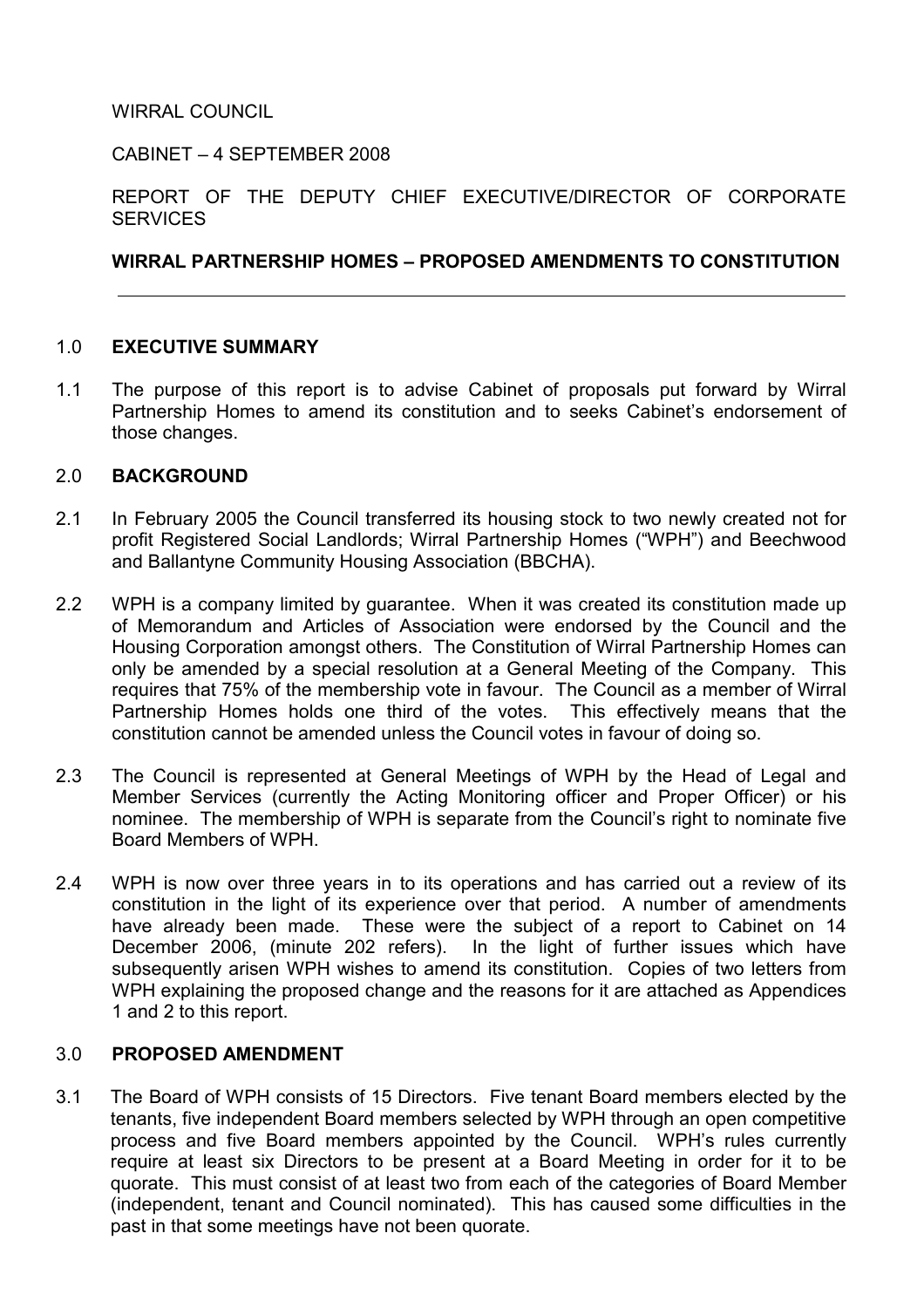WIRRAL COUNCIL

CABINET – 4 SEPTEMBER 2008

REPORT OF THE DEPUTY CHIEF EXECUTIVE/DIRECTOR OF CORPORATE **SERVICES** 

# WIRRAL PARTNERSHIP HOMES – PROPOSED AMENDMENTS TO CONSTITUTION

### 1.0 EXECUTIVE SUMMARY

1.1 The purpose of this report is to advise Cabinet of proposals put forward by Wirral Partnership Homes to amend its constitution and to seeks Cabinet's endorsement of those changes.

### 2.0 BACKGROUND

- 2.1 In February 2005 the Council transferred its housing stock to two newly created not for profit Registered Social Landlords; Wirral Partnership Homes ("WPH") and Beechwood and Ballantyne Community Housing Association (BBCHA).
- 2.2 WPH is a company limited by guarantee. When it was created its constitution made up of Memorandum and Articles of Association were endorsed by the Council and the Housing Corporation amongst others. The Constitution of Wirral Partnership Homes can only be amended by a special resolution at a General Meeting of the Company. This requires that 75% of the membership vote in favour. The Council as a member of Wirral Partnership Homes holds one third of the votes. This effectively means that the constitution cannot be amended unless the Council votes in favour of doing so.
- 2.3 The Council is represented at General Meetings of WPH by the Head of Legal and Member Services (currently the Acting Monitoring officer and Proper Officer) or his nominee. The membership of WPH is separate from the Council's right to nominate five Board Members of WPH.
- 2.4 WPH is now over three years in to its operations and has carried out a review of its constitution in the light of its experience over that period. A number of amendments have already been made. These were the subject of a report to Cabinet on 14 December 2006, (minute 202 refers). In the light of further issues which have subsequently arisen WPH wishes to amend its constitution. Copies of two letters from WPH explaining the proposed change and the reasons for it are attached as Appendices 1 and 2 to this report.

# 3.0 PROPOSED AMENDMENT

3.1 The Board of WPH consists of 15 Directors. Five tenant Board members elected by the tenants, five independent Board members selected by WPH through an open competitive process and five Board members appointed by the Council. WPH's rules currently require at least six Directors to be present at a Board Meeting in order for it to be quorate. This must consist of at least two from each of the categories of Board Member (independent, tenant and Council nominated). This has caused some difficulties in the past in that some meetings have not been quorate.